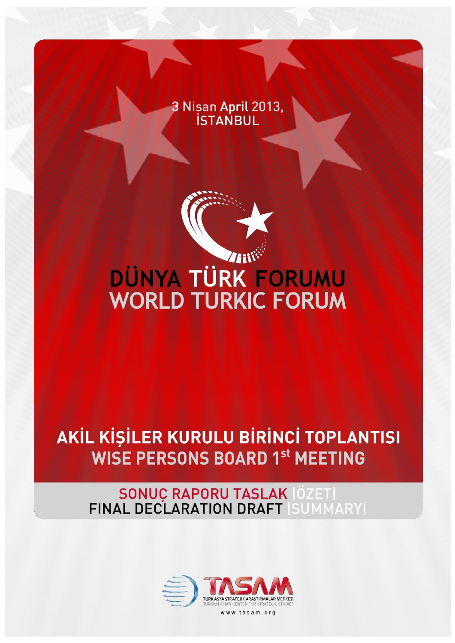3 Nisan April 2013,<br>STANBUL



## DÜNYA TÜRK FORUMU **WORLD TURKIC FORUM**

## AKİL KİŞİLER KURULU BİRİNCİ TOPLANTISI **WISE PERSONS BOARD 1st MEETING**

# SONUC RAPORU TASLAK |ÖZET|<br>FINAL DECLARATION DRAFT |SUMMARY|

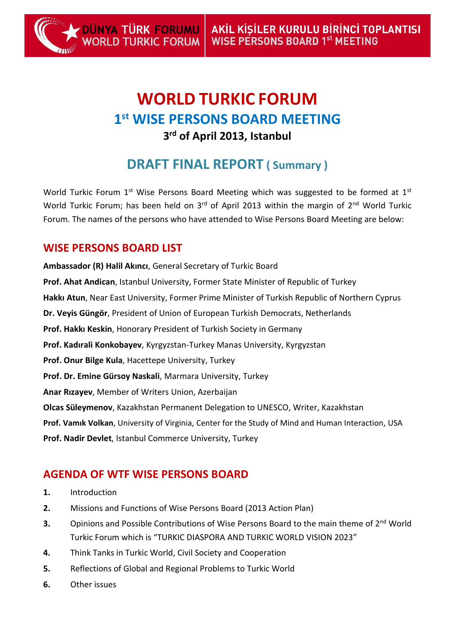### **WORLD TURKIC FORUM 1 st WISE PERSONS BOARD MEETING 3 rd of April 2013, Istanbul**

### **DRAFT FINAL REPORT ( Summary )**

World Turkic Forum  $1<sup>st</sup>$  Wise Persons Board Meeting which was suggested to be formed at  $1<sup>st</sup>$ World Turkic Forum; has been held on  $3<sup>rd</sup>$  of April 2013 within the margin of  $2<sup>nd</sup>$  World Turkic Forum. The names of the persons who have attended to Wise Persons Board Meeting are below:

#### **WISE PERSONS BOARD LIST**

DÜNYA <mark>TÜRK FORUMU</mark><br>WORLD TURKIC FORUM

**Ambassador (R) Halil Akıncı**, General Secretary of Turkic Board **Prof. Ahat Andican**, Istanbul University, Former State Minister of Republic of Turkey **Hakkı Atun**, Near East University, Former Prime Minister of Turkish Republic of Northern Cyprus **Dr. Veyis Güngör**, President of Union of European Turkish Democrats, Netherlands **Prof. Hakkı Keskin**, Honorary President of Turkish Society in Germany **Prof. Kadırali Konkobayev**, Kyrgyzstan-Turkey Manas University, Kyrgyzstan **Prof. Onur Bilge Kula**, Hacettepe University, Turkey **Prof. Dr. Emine Gürsoy Naskali**, Marmara University, Turkey **Anar Rızayev**, Member of Writers Union, Azerbaijan **Olcas Süleymenov**, Kazakhstan Permanent Delegation to UNESCO, Writer, Kazakhstan **Prof. Vamık Volkan**, University of Virginia, Center for the Study of Mind and Human Interaction, USA **Prof. Nadir Devlet**, Istanbul Commerce University, Turkey

#### **AGENDA OF WTF WISE PERSONS BOARD**

- **1.** Introduction
- **2.** Missions and Functions of Wise Persons Board (2013 Action Plan)
- **3.** Opinions and Possible Contributions of Wise Persons Board to the main theme of 2<sup>nd</sup> World Turkic Forum which is "TURKIC DIASPORA AND TURKIC WORLD VISION 2023"
- **4.** Think Tanks in Turkic World, Civil Society and Cooperation
- **5.** Reflections of Global and Regional Problems to Turkic World
- **6.** Other issues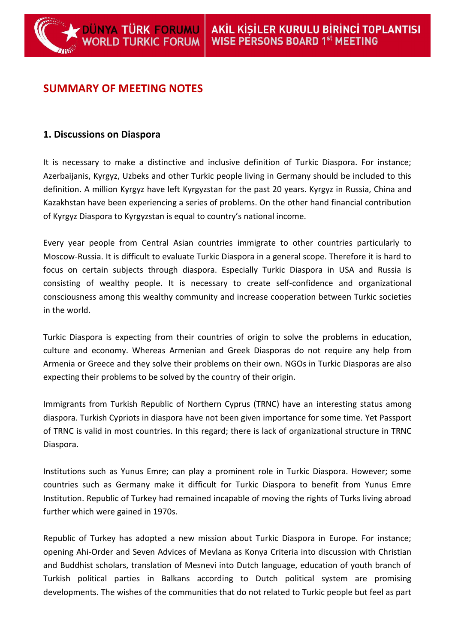#### **SUMMARY OF MEETING NOTES**

DÜNYA TÜRK FORUMU<br>WORLD TURKIC FORUM

#### **1. Discussions on Diaspora**

It is necessary to make a distinctive and inclusive definition of Turkic Diaspora. For instance; Azerbaijanis, Kyrgyz, Uzbeks and other Turkic people living in Germany should be included to this definition. A million Kyrgyz have left Kyrgyzstan for the past 20 years. Kyrgyz in Russia, China and Kazakhstan have been experiencing a series of problems. On the other hand financial contribution of Kyrgyz Diaspora to Kyrgyzstan is equal to country's national income.

Every year people from Central Asian countries immigrate to other countries particularly to Moscow-Russia. It is difficult to evaluate Turkic Diaspora in a general scope. Therefore it is hard to focus on certain subjects through diaspora. Especially Turkic Diaspora in USA and Russia is consisting of wealthy people. It is necessary to create self-confidence and organizational consciousness among this wealthy community and increase cooperation between Turkic societies in the world.

Turkic Diaspora is expecting from their countries of origin to solve the problems in education, culture and economy. Whereas Armenian and Greek Diasporas do not require any help from Armenia or Greece and they solve their problems on their own. NGOs in Turkic Diasporas are also expecting their problems to be solved by the country of their origin.

Immigrants from Turkish Republic of Northern Cyprus (TRNC) have an interesting status among diaspora. Turkish Cypriots in diaspora have not been given importance for some time. Yet Passport of TRNC is valid in most countries. In this regard; there is lack of organizational structure in TRNC Diaspora.

Institutions such as Yunus Emre; can play a prominent role in Turkic Diaspora. However; some countries such as Germany make it difficult for Turkic Diaspora to benefit from Yunus Emre Institution. Republic of Turkey had remained incapable of moving the rights of Turks living abroad further which were gained in 1970s.

Republic of Turkey has adopted a new mission about Turkic Diaspora in Europe. For instance; opening Ahi-Order and Seven Advices of Mevlana as Konya Criteria into discussion with Christian and Buddhist scholars, translation of Mesnevi into Dutch language, education of youth branch of Turkish political parties in Balkans according to Dutch political system are promising developments. The wishes of the communities that do not related to Turkic people but feel as part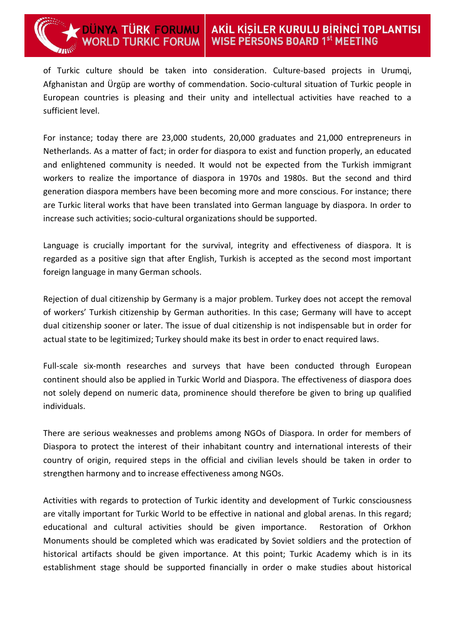of Turkic culture should be taken into consideration. Culture-based projects in Urumqi, Afghanistan and Ürgüp are worthy of commendation. Socio-cultural situation of Turkic people in European countries is pleasing and their unity and intellectual activities have reached to a sufficient level.

For instance; today there are 23,000 students, 20,000 graduates and 21,000 entrepreneurs in Netherlands. As a matter of fact; in order for diaspora to exist and function properly, an educated and enlightened community is needed. It would not be expected from the Turkish immigrant workers to realize the importance of diaspora in 1970s and 1980s. But the second and third generation diaspora members have been becoming more and more conscious. For instance; there are Turkic literal works that have been translated into German language by diaspora. In order to increase such activities; socio-cultural organizations should be supported.

Language is crucially important for the survival, integrity and effectiveness of diaspora. It is regarded as a positive sign that after English, Turkish is accepted as the second most important foreign language in many German schools.

Rejection of dual citizenship by Germany is a major problem. Turkey does not accept the removal of workers' Turkish citizenship by German authorities. In this case; Germany will have to accept dual citizenship sooner or later. The issue of dual citizenship is not indispensable but in order for actual state to be legitimized; Turkey should make its best in order to enact required laws.

Full-scale six-month researches and surveys that have been conducted through European continent should also be applied in Turkic World and Diaspora. The effectiveness of diaspora does not solely depend on numeric data, prominence should therefore be given to bring up qualified individuals.

There are serious weaknesses and problems among NGOs of Diaspora. In order for members of Diaspora to protect the interest of their inhabitant country and international interests of their country of origin, required steps in the official and civilian levels should be taken in order to strengthen harmony and to increase effectiveness among NGOs.

Activities with regards to protection of Turkic identity and development of Turkic consciousness are vitally important for Turkic World to be effective in national and global arenas. In this regard; educational and cultural activities should be given importance. Restoration of Orkhon Monuments should be completed which was eradicated by Soviet soldiers and the protection of historical artifacts should be given importance. At this point; Turkic Academy which is in its establishment stage should be supported financially in order o make studies about historical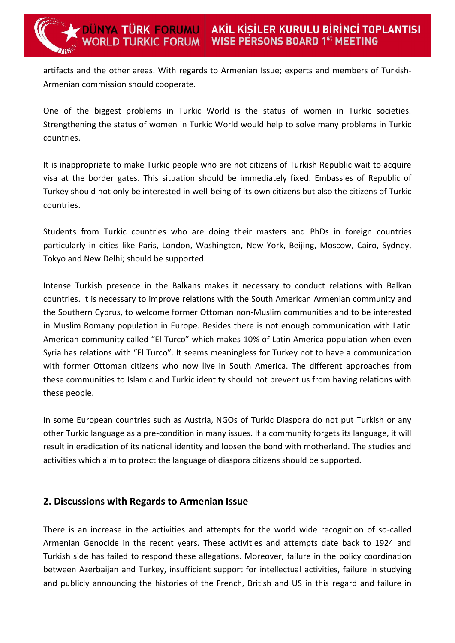artifacts and the other areas. With regards to Armenian Issue; experts and members of Turkish-Armenian commission should cooperate.

DÜNYA TÜRK FORUMU<br>WORLD TURKIC FORUM

One of the biggest problems in Turkic World is the status of women in Turkic societies. Strengthening the status of women in Turkic World would help to solve many problems in Turkic countries.

It is inappropriate to make Turkic people who are not citizens of Turkish Republic wait to acquire visa at the border gates. This situation should be immediately fixed. Embassies of Republic of Turkey should not only be interested in well-being of its own citizens but also the citizens of Turkic countries.

Students from Turkic countries who are doing their masters and PhDs in foreign countries particularly in cities like Paris, London, Washington, New York, Beijing, Moscow, Cairo, Sydney, Tokyo and New Delhi; should be supported.

Intense Turkish presence in the Balkans makes it necessary to conduct relations with Balkan countries. It is necessary to improve relations with the South American Armenian community and the Southern Cyprus, to welcome former Ottoman non-Muslim communities and to be interested in Muslim Romany population in Europe. Besides there is not enough communication with Latin American community called "El Turco" which makes 10% of Latin America population when even Syria has relations with "El Turco". It seems meaningless for Turkey not to have a communication with former Ottoman citizens who now live in South America. The different approaches from these communities to Islamic and Turkic identity should not prevent us from having relations with these people.

In some European countries such as Austria, NGOs of Turkic Diaspora do not put Turkish or any other Turkic language as a pre-condition in many issues. If a community forgets its language, it will result in eradication of its national identity and loosen the bond with motherland. The studies and activities which aim to protect the language of diaspora citizens should be supported.

#### **2. Discussions with Regards to Armenian Issue**

There is an increase in the activities and attempts for the world wide recognition of so-called Armenian Genocide in the recent years. These activities and attempts date back to 1924 and Turkish side has failed to respond these allegations. Moreover, failure in the policy coordination between Azerbaijan and Turkey, insufficient support for intellectual activities, failure in studying and publicly announcing the histories of the French, British and US in this regard and failure in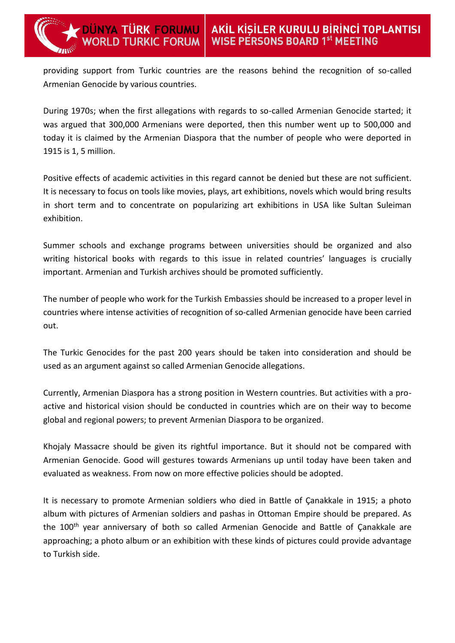providing support from Turkic countries are the reasons behind the recognition of so-called Armenian Genocide by various countries.

DÜNYA TÜRK FORUMU<br>WORLD TURKIC FORUM

During 1970s; when the first allegations with regards to so-called Armenian Genocide started; it was argued that 300,000 Armenians were deported, then this number went up to 500,000 and today it is claimed by the Armenian Diaspora that the number of people who were deported in 1915 is 1, 5 million.

Positive effects of academic activities in this regard cannot be denied but these are not sufficient. It is necessary to focus on tools like movies, plays, art exhibitions, novels which would bring results in short term and to concentrate on popularizing art exhibitions in USA like Sultan Suleiman exhibition.

Summer schools and exchange programs between universities should be organized and also writing historical books with regards to this issue in related countries' languages is crucially important. Armenian and Turkish archives should be promoted sufficiently.

The number of people who work for the Turkish Embassies should be increased to a proper level in countries where intense activities of recognition of so-called Armenian genocide have been carried out.

The Turkic Genocides for the past 200 years should be taken into consideration and should be used as an argument against so called Armenian Genocide allegations.

Currently, Armenian Diaspora has a strong position in Western countries. But activities with a proactive and historical vision should be conducted in countries which are on their way to become global and regional powers; to prevent Armenian Diaspora to be organized.

Khojaly Massacre should be given its rightful importance. But it should not be compared with Armenian Genocide. Good will gestures towards Armenians up until today have been taken and evaluated as weakness. From now on more effective policies should be adopted.

It is necessary to promote Armenian soldiers who died in Battle of Çanakkale in 1915; a photo album with pictures of Armenian soldiers and pashas in Ottoman Empire should be prepared. As the 100<sup>th</sup> year anniversary of both so called Armenian Genocide and Battle of Çanakkale are approaching; a photo album or an exhibition with these kinds of pictures could provide advantage to Turkish side.